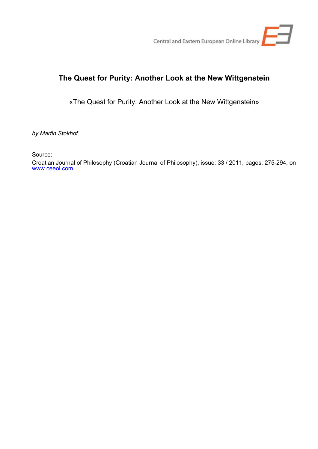

## **The Quest for Purity: Another Look at the New Wittgenstein**

«The Quest for Purity: Another Look at the New Wittgenstein»

*by Martin Stokhof*

Source:

Croatian Journal of Philosophy (Croatian Journal of Philosophy), issue: 33 / 2011, pages: 275-294, on [www.ceeol.com.](http://www.ceeol.com)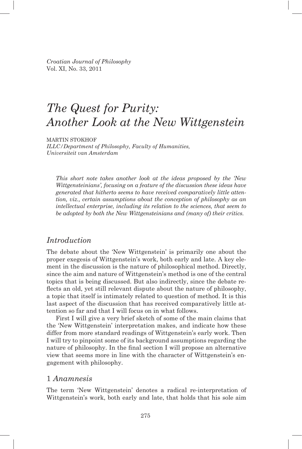*Croatian Journal of Philosophy* Vol. XI, No. 33, 2011

# *The Quest for Purity: Another Look at the New Wittgenstein*

MARTIN STOKHOF *ILLC/Department of Philosophy, Faculty of Humanities, Universiteit van Amsterdam*

*This short note takes another look at the ideas proposed by the 'New Wittgen steinians', focusing on a feature of the discussion these ideas have generated that hitherto seems to have received comparatively little attention, viz., certain assumptions about the conception of philosophy as an intellectual enterprise, including its relation to the sciences, that seem to be adopted by both the New Wittgensteinians and (many of) their critics.*

## *Introduction*

The debate about the 'New Wittgenstein' is primarily one about the proper exegesis of Wittgenstein's work, both early and late. A key element in the discussion is the nature of philosophical method. Directly, since the aim and nature of Wittgenstein's method is one of the central topics that is being discussed. But also indirectly, since the debate reflects an old, yet still relevant dispute about the nature of philosophy, a topic that itself is intimately related to question of method. It is this last aspect of the discussion that has received comparatively little attention so far and that I will focus on in what follows.

First I will give a very brief sketch of some of the main claims that the 'New Wittgenstein' interpretation makes, and indicate how these differ from more standard readings of Wittgenstein's early work. Then I will try to pinpoint some of its background assumptions regarding the nature of philosophy. In the final section I will propose an alternative view that seems more in line with the character of Wittgenstein's engagement with philosophy.

## 1 *Anamnesis*

The term 'New Wittgenstein' denotes a radical re-interpretation of Wittgenstein's work, both early and late, that holds that his sole aim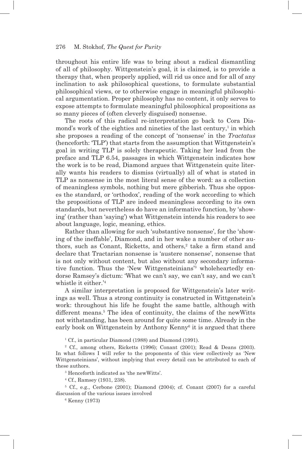throughout his entire life was to bring about a radical dismantling of all of philosophy. Wittgenstein's goal, it is claimed, is to provide a therapy that, when properly applied, will rid us once and for all of any inclination to ask philosophical questions, to formulate substantial philosophical views, or to otherwise engage in meaningful philosophical argumentation. Proper philosophy has no content, it only serves to expose attempts to formulate meaningful philosophical propositions as so many pieces of (often cleverly disguised) nonsense.

The roots of this radical re-interpretation go back to Cora Diamond's work of the eighties and nineties of the last century,<sup>1</sup> in which she proposes a reading of the concept of 'nonsense' in the *Tractatus* (henceforth: 'TLP') that starts from the assumption that Wittgenstein's goal in writing TLP is solely therapeutic. Taking her lead from the preface and TLP 6.54, passages in which Wittgenstein indicates how the work is to be read, Diamond argues that Wittgenstein quite literally wants his readers to dismiss (virtually) all of what is stated in TLP as nonsense in the most literal sense of the word: as a collection of meaningless symbols, nothing but mere gibberish. Thus she opposes the standard, or 'orthodox', reading of the work according to which the propositions of TLP are indeed meaningless according to its own standards, but nevertheless do have an informative function, by 'showing' (rather than 'saying') what Wittgenstein intends his readers to see about language, logic, meaning, ethics.

Rather than allowing for such 'substantive nonsense', for the 'showing of the ineffable', Diamond, and in her wake a number of other authors, such as Conant, Ricketts, and others,<sup>2</sup> take a firm stand and declare that Tractarian nonsense is 'austere nonsense', nonsense that is not only without content, but also without any secondary informative function. Thus the 'New Wittgensteinians'3 wholeheartedly endorse Ramsey's dictum: 'What we can't say, we can't say, and we can't whistle it either.'4

A similar interpretation is proposed for Wittgenstein's later writings as well. Thus a strong continuity is constructed in Wittgenstein's work: throughout his life he fought the same battle, although with different means.<sup>5</sup> The idea of continuity, the claims of the new Witts not withstanding, has been around for quite some time. Already in the early book on Wittgenstein by Anthony Kenny<sup>6</sup> it is argued that there

<sup>1</sup> Cf., in particular Diamond (1988) and Diamond (1991).

2 Cf., among others, Ricketts (1996); Conant (2001); Read & Deans (2003). In what follows I will refer to the proponents of this view collectively as 'New Wittgensteinians', without implying that every detail can be attributed to each of these authors.

3 Henceforth indicated as 'the newWitts'.

4 Cf., Ramsey (1931, 238).

5 Cf., e.g., Cerbone (2001); Diamond (2004); cf. Conant (2007) for a careful discussion of the various issues involved

6 Kenny (1973)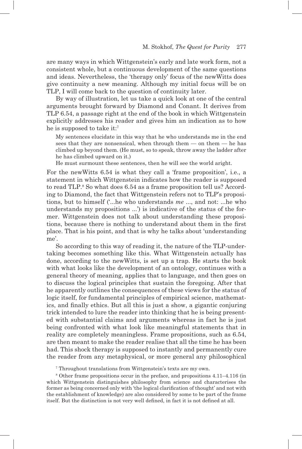are many ways in which Wittgenstein's early and late work form, not a consistent whole, but a continuous development of the same questions and ideas. Nevertheless, the 'therapy only' focus of the newWitts does give continuity a new meaning. Although my initial focus will be on TLP, I will come back to the question of continuity later.

By way of illustration, let us take a quick look at one of the central arguments brought forward by Diamond and Conant. It derives from TLP 6.54, a passage right at the end of the book in which Wittgenstein explicitly addresses his reader and gives him an indication as to how he is supposed to take it:7

My sentences elucidate in this way that he who understands me in the end sees that they are nonsensical, when through them — on them — he has climbed up beyond them. (He must, so to speak, throw away the ladder after he has climbed upward on it.)

He must surmount these sentences, then he will see the world aright.

For the newWitts 6.54 is what they call a 'frame proposition', i.e., a statement in which Wittgenstein indicates how the reader is supposed to read TLP.<sup>8</sup> So what does 6.54 as a frame proposition tell us? According to Diamond, the fact that Wittgenstein refers not to TLP's propositions, but to himself ('...he who understands *me* ..., and not: ...he who understands my propositions ...') is indicative of the status of the former. Wittgenstein does not talk about understanding these propositions, because there is nothing to understand about them in the first place. That is his point, and that is why he talks about 'understanding me'.

So according to this way of reading it, the nature of the TLP-undertaking becomes something like this. What Wittgenstein actually has done, according to the newWitts, is set up a trap. He starts the book with what looks like the development of an ontology, continues with a general theory of meaning, applies that to language, and then goes on to discuss the logical principles that sustain the foregoing. After that he apparently outlines the consequences of these views for the status of logic itself, for fundamental principles of empirical science, mathematics, and finally ethics. But all this is just a show, a gigantic conjuring trick intended to lure the reader into thinking that he is being presented with substantial claims and arguments whereas in fact he is just being confronted with what look like meaningful statements that in reality are completely meaningless. Frame propositions, such as 6.54, are then meant to make the reader realise that all the time he has been had. This shock therapy is supposed to instantly and permanently cure the reader from any metaphysical, or more general any philosophical

7 Throughout translations from Wittgenstein's texts are my own.

8 Other frame propositions occur in the preface, and propositions 4.11–4.116 (in which Wittgenstein distinguishes philosophy from science and characterises the former as being concerned only with 'the logical clarification of thought' and not with the establishment of knowledge) are also considered by some to be part of the frame itself. But the distinction is not very well defined, in fact it is not defined at all.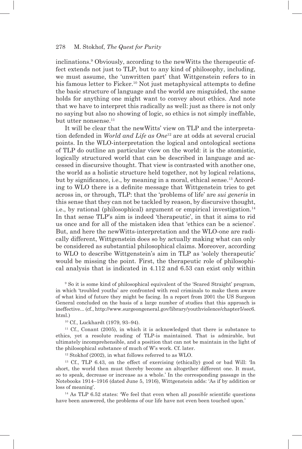inclinations.9 Obviously, according to the newWitts the therapeutic effect extends not just to TLP, but to any kind of philosophy, including, we must assume, the 'unwritten part' that Wittgenstein refers to in his famous letter to Ficker.<sup>10</sup> Not just metaphysical attempts to define the basic structure of language and the world are misguided, the same holds for anything one might want to convey about ethics. And note that we have to interpret this radically as well: just as there is not only no saying but also no showing of logic, so ethics is not simply ineffable, but utter nonsense.<sup>11</sup>

It will be clear that the newWitts' view on TLP and the interpretation defended in *World and Life as One*12 are at odds at several crucial points. In the WLO-interpretation the logical and ontological sections of TLP do outline an particular view on the world: it is the atomistic, logically structured world that can be described in language and accessed in discursive thought. That view is contrasted with another one, the world as a holistic structure held together, not by logical relations, but by significance, i.e., by meaning in a moral, ethical sense.<sup>13</sup> According to WLO there is a definite message that Wittgenstein tries to get across in, or through, TLP: that the 'problems of life' are *sui generis* in this sense that they can not be tackled by reason, by discursive thought, i.e., by rational (philosophical) argument or empirical investigation.14 In that sense TLP's aim is indeed 'therapeutic', in that it aims to rid us once and for all of the mistaken idea that 'ethics can be a science'. But, and here the newWitts-interpretation and the WLO-one are radically different, Wittgenstein does so by actually making what can only be considered as substantial philosophical claims. Moreover, according to WLO to describe Wittgenstein's aim in TLP as 'solely therapeutic' would be missing the point. First, the therapeutic role of philosophical analysis that is indicated in 4.112 and 6.53 can exist only within

9 So it is some kind of philosophical equivalent of the 'Scared Straight' program, in which 'troubled youths' are confronted with real criminals to make them aware of what kind of future they might be facing. In a report from 2001 the US Surgeon General concluded on the basis of a large number of studies that this approach is ineffective... (cf., http://www.surgeongeneral.gov/library/youthviolence/chapter5/sec6. html.)

10 Cf., Luckhardt (1979, 93–94).

 $11$  Cf., Conant (2005), in which it is acknowledged that there is substance to ethics, yet a resolute reading of TLP-is maintained. That is admirable, but ultimately incomprehensible, and a position that can not be maintain in the light of the philosophical substance of much of W's work. Cf. later.

 $12$  Stokhof (2002), in what follows referred to as WLO.

13 Cf., TLP 6.43, on the effect of exercising (ethically) good or bad Will: 'In short, the world then must thereby become an altogether different one. It must, so to speak, decrease or increase as a whole.' In the corresponding passage in the Notebooks 1914–1916 (dated June 5, 1916), Wittgenstein adds: 'As if by addition or loss of meaning'.

<sup>14</sup> As TLP 6.52 states: 'We feel that even when all *possible* scientific questions have been answered, the problems of our life have not even been touched upon.'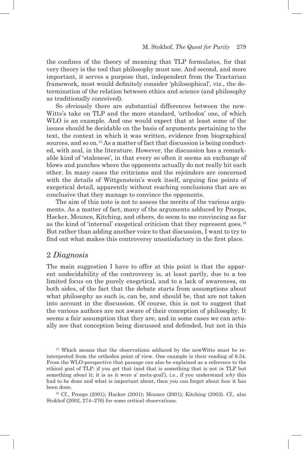the confines of the theory of meaning that TLP formulates, for that very theory is the tool that philosophy must use. And second, and more important, it serves a purpose that, independent from the Tractarian framework, most would definitely consider 'philosophical', viz., the determination of the relation between ethics and science (and philosophy as traditionally conceived).

So obviously there are substantial differences between the new-Witts's take on TLP and the more standard, 'orthodox' one, of which WLO is an example. And one would expect that at least some of the issues should be decidable on the basis of arguments pertaining to the text, the context in which it was written, evidence from biographical sources, and so on.15 As a matter of fact that discussion is being conducted, with zeal, in the literature. However, the discussion has a remarkable kind of 'staleness', in that every so often it seems an exchange of blows and punches where the opponents actually do not really hit each other. In many cases the criticisms and the rejoinders are concerned with the details of Wittgenstein's work itself, arguing fine points of exegetical detail, apparently without reaching conclusions that are so conclusive that they manage to convince the opponents.

The aim of this note is not to assess the merits of the various arguments. As a matter of fact, many of the arguments adduced by Proops, Hacker, Mounce, Kitching, and others, do seem to me convincing as far as the kind of 'internal' exegetical criticism that they represent goes.<sup>16</sup> But rather than adding another voice to that discussion, I want to try to find out what makes this controversy unsatisfactory in the first place.

## 2 *Diagnosis*

The main suggestion I have to offer at this point is that the apparent undecidability of the controversy is, at least partly, due to a too limited focus on the purely exegetical, and to a lack of awareness, on both sides, of the fact that the debate starts from assumptions about what philosophy as such is, can be, and should be, that are not taken into account in the discussion. Of course, this is not to suggest that the various authors are not aware of their conception of philosophy. It seems a fair assumption that they are, and in some cases we can actually see that conception being discussed and defended, but not in this

<sup>15</sup> Which means that the observations adduced by the newWitts must be reinterpreted from the orthodox point of view. One example is their reading of 6.54. From the WLO-perspective that passage can also be explained as a reference to the ethical goal of TLP: if you get that (and that is something that is not *in* TLP but something *about* it; it is as it were a' meta-goal'), i.e., if you understand *why* this had to be done and what is important about, then you can forget about *how* it has been done.

16 Cf., Proops (2001); Hacker (2001); Mounce (2001); Kitching (2003). Cf., also Stokhof (2002, 274–276) for some critical observations.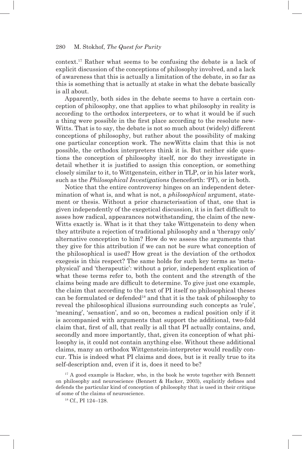context.17 Rather what seems to be confusing the debate is a lack of explicit discussion of the conceptions of philosophy involved, and a lack of awareness that this is actually a limitation of the debate, in so far as this is something that is actually at stake in what the debate basically is all about.

Apparently, both sides in the debate seems to have a certain conception of philosophy, one that applies to what philosophy in reality is according to the orthodox interpreters, or to what it would be if such a thing were possible in the first place according to the resolute new-Witts. That is to say, the debate is not so much about (widely) different conceptions of philosophy, but rather about the possibility of making one particular conception work. The newWitts claim that this is not possible, the orthodox interpreters think it is. But neither side questions the conception of philosophy itself, nor do they investigate in detail whether it is justified to assign this conception, or something closely similar to it, to Wittgenstein, either in TLP, or in his later work, such as the *Philosophical Investigations* (henceforth: 'PI'), or in both.

Notice that the entire controversy hinges on an independent determination of what is, and what is not, a *philosophical* argument, statement or thesis. Without a prior characterisation of that, one that is given independently of the exegetical discussion, it is in fact difficult to asses how radical, appearances notwithstanding, the claim of the new-Witts exactly is. What is it that they take Wittgenstein to deny when they attribute a rejection of traditional philosophy and a 'therapy only' alternative conception to him? How do we assess the arguments that they give for this attribution if we can not be sure what conception of the philosophical is used? How great is the deviation of the orthodox exegesis in this respect? The same holds for such key terms as 'metaphysical' and 'therapeutic': without a prior, independent explication of what these terms refer to, both the content and the strength of the claims being made are difficult to determine. To give just one example, the claim that according to the text of PI itself no philosophical theses can be formulated or defended18 and that it is the task of philosophy to reveal the philosophical illusions surrounding such concepts as 'rule', 'meaning', 'sensation', and so on, becomes a radical position only if it is accompanied with arguments that support the additional, two-fold claim that, first of all, that really is all that PI actually contains, and, secondly and more importantly, that, given its conception of what philosophy is, it could not contain anything else. Without these additional claims, many an orthodox Wittgenstein-interpreter would readily concur. This is indeed what PI claims and does, but is it really true to its self-description and, even if it is, does it need to be?

 $17$  A good example is Hacker, who, in the book he wrote together with Bennett on philosophy and neuroscience (Bennett & Hacker, 2003), explicitly defines and defends the particular kind of conception of philosophy that is used in their critique of some of the claims of neuroscience.

18 Cf., PI 124–128.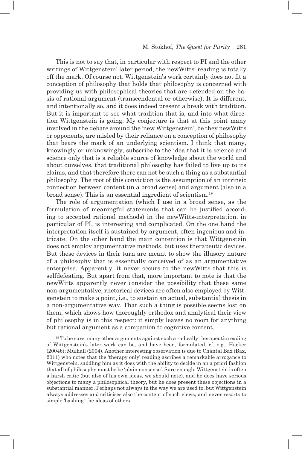This is not to say that, in particular with respect to PI and the other writings of Wittgenstein' later period, the newWitts' reading is totally off the mark. Of course not. Wittgenstein's work certainly does not fit a conception of philosophy that holds that philosophy is concerned with providing us with philosophical theories that are defended on the basis of rational argument (transcendental or otherwise). It is different, and intentionally so, and it does indeed present a break with tradition. But it is important to see what tradition that is, and into what direction Wittgenstein is going. My conjecture is that at this point many involved in the debate around the 'new Wittgenstein', be they newWitts or opponents, are misled by their reliance on a conception of philosophy that bears the mark of an underlying scientism. I think that many, knowingly or unknowingly, subscribe to the idea that it is science and science only that is a reliable source of knowledge about the world and about ourselves, that traditional philosophy has failed to live up to its claims, and that therefore there can not be such a thing as a substantial philosophy. The root of this conviction is the assumption of an intrinsic connection between content (in a broad sense) and argument (also in a broad sense). This is an essential ingredient of scientism.19

The role of argumentation (which I use in a broad sense, as the formulation of meaningful statements that can be justified according to accepted rational methods) in the newWitts-interpretation, in particular of PI, is interesting and complicated. On the one hand the interpretation itself is sustained by argument, often ingenious and intricate. On the other hand the main contention is that Wittgenstein does not employ argumentative methods, but uses therapeutic devices. But these devices in their turn are meant to show the illusory nature of a philosophy that is essentially conceived of as an argumentative enterprise. Apparently, it never occurs to the newWitts that this is selfdefeating. But apart from that, more important to note is that the newWitts apparently never consider the possibility that these same non-argumentative, rhetorical devices are often also employed by Wittgenstein to make a point, i.e., to sustain an actual, substantial thesis in a non-argumentative way. That such a thing is possible seems lost on them, which shows how thoroughly orthodox and analytical their view of philosophy is in this respect: it simply leaves no room for anything but rational argument as a companion to cognitive content.

<sup>19</sup> To be sure, many other arguments against such a radically therapeutic reading of Wittgenstein's later work can be, and have been, formulated, cf. e.g., Hacker (2004b); Mulhall (2004). Another interesting observation is due to Chantal Bax (Bax, 2011) who notes that the 'therapy only' reading ascribes a remarkable arrogance to Wittgenstein, saddling him as it does with the ability to decide in an a priori fashion that all of philosophy must be be 'plain nonsense'. Sure enough, Wittgenstein is often a harsh critic (but also of his own ideas, we should note), and he does have serious objections to many a philosophical theory, but he does present these objections in a substantial manner. Perhaps not always in the way we are used to, but Wittgenstein always addresses and criticises also the content of such views, and never resorts to simple 'bashing' the ideas of others.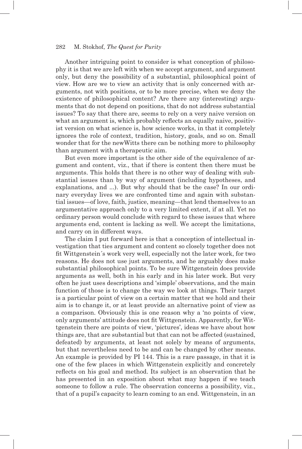Another intriguing point to consider is what conception of philosophy it is that we are left with when we accept argument, and argument only, but deny the possibility of a substantial, philosophical point of view. How are we to view an activity that is only concerned with arguments, not with positions, or to be more precise, when we deny the existence of philosophical content? Are there any (interesting) arguments that do not depend on positions, that do not address substantial issues? To say that there are, seems to rely on a very naive version on what an argument is, which probably reflects an equally naive, positivist version on what science is, how science works, in that it completely ignores the role of context, tradition, history, goals, and so on. Small wonder that for the newWitts there can be nothing more to philosophy than argument with a therapeutic aim.

But even more important is the other side of the equivalence of argument and content, viz., that if there is content then there must be arguments. This holds that there is no other way of dealing with substantial issues than by way of argument (including hypotheses, and explanations, and ...). But why should that be the case? In our ordinary everyday lives we are confronted time and again with substantial issues—of love, faith, justice, meaning—that lend themselves to an argumentative approach only to a very limited extent, if at all. Yet no ordinary person would conclude with regard to these issues that where arguments end, content is lacking as well. We accept the limitations, and carry on in different ways.

The claim I put forward here is that a conception of intellectual investigation that ties argument and content so closely together does not fit Wittgenstein's work very well, especially not the later work, for two reasons. He does not use just arguments, and he arguably does make substantial philosophical points. To be sure Wittgenstein does provide arguments as well, both in his early and in his later work. But very often he just uses descriptions and 'simple' observations, and the main function of those is to change the way we look at things. Their target is a particular point of view on a certain matter that we hold and their aim is to change it, or at least provide an alternative point of view as a comparison. Obviously this is one reason why a 'no points of view, only arguments' attitude does not fi t Wittgenstein. Apparently, for Wittgenstein there are points of view, 'pictures', ideas we have about how things are, that are substantial but that can not be affected (sustained, defeated) by arguments, at least not solely by means of arguments, but that nevertheless need to be and can be changed by other means. An example is provided by PI 144. This is a rare passage, in that it is one of the few places in which Wittgenstein explicitly and concretely reflects on his goal and method. Its subject is an observation that he has presented in an exposition about what may happen if we teach someone to follow a rule. The observation concerns a possibility, viz., that of a pupil's capacity to learn coming to an end. Wittgenstein, in an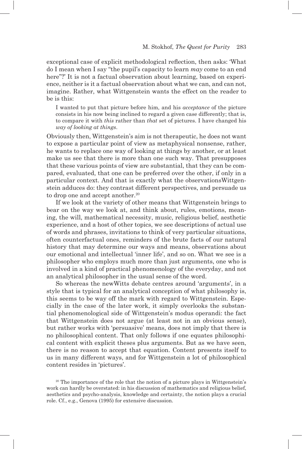exceptional case of explicit methodological reflection, then asks: 'What do I mean when I say "the pupil's capacity to learn *may* come to an end here"?' It is not a factual observation about learning, based on experience, neither is it a factual observation about what we can, and can not, imagine. Rather, what Wittgenstein wants the effect on the reader to be is this:

I wanted to put that picture before him, and his *acceptance* of the picture consists in his now being inclined to regard a given case differently; that is, to compare it with *this* rather than *that* set of pictures. I have changed his *way of looking at things*.

Obviously then, Wittgenstein's aim is not therapeutic, he does not want to expose a particular point of view as metaphysical nonsense, rather, he wants to replace one way of looking at things by another, or at least make us see that there is more than one such way. That presupposes that these various points of view are substantial, that they can be compared, evaluated, that one can be preferred over the other, if only in a particular context. And that is exactly what the observationsWittgenstein adduces do: they contrast different perspectives, and persuade us to drop one and accept another.<sup>20</sup>

If we look at the variety of other means that Wittgenstein brings to bear on the way we look at, and think about, rules, emotions, meaning, the will, mathematical necessity, music, religious belief, aesthetic experience, and a host of other topics, we see descriptions of actual use of words and phrases, invitations to think of very particular situations, often counterfactual ones, reminders of the brute facts of our natural history that may determine our ways and means, observations about our emotional and intellectual 'inner life', and so on. What we see is a philosopher who employs much more than just arguments, one who is involved in a kind of practical phenomenology of the everyday, and not an analytical philosopher in the usual sense of the word.

So whereas the newWitts debate centres around 'arguments', in a style that is typical for an analytical conception of what philosophy is, this seems to be way off the mark with regard to Wittgenstein. Especially in the case of the later work, it simply overlooks the substantial phenomenological side of Wittgenstein's modus operandi: the fact that Wittgenstein does not argue (at least not in an obvious sense), but rather works with 'persuasive' means, does not imply that there is no philosophical content. That only follows if one equates philosophical content with explicit theses plus arguments. But as we have seen, there is no reason to accept that equation. Content presents itself to us in many different ways, and for Wittgenstein a lot of philosophical content resides in 'pictures'.

<sup>20</sup> The importance of the role that the notion of a picture plays in Wittgenstein's work can hardly be overstated: in his discussion of mathematics and religious belief, aesthetics and psycho-analysis, knowledge and certainty, the notion plays a crucial role. Cf., e.g., Genova (1995) for extensive discussion.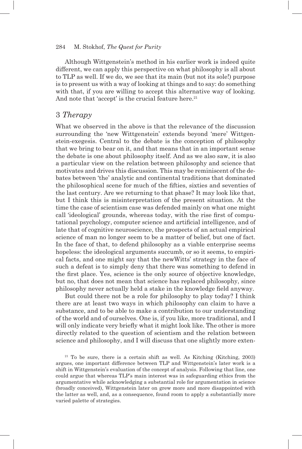Although Wittgenstein's method in his earlier work is indeed quite different, we can apply this perspective on what philosophy is all about to TLP as well. If we do, we see that its main (but not its sole!) purpose is to present us with a way of looking at things and to say: do something with that, if you are willing to accept this alternative way of looking. And note that 'accept' is the crucial feature here.<sup>21</sup>

## 3 *Therapy*

What we observed in the above is that the relevance of the discussion surrounding the 'new Wittgenstein' extends beyond 'mere' Wittgenstein-exegesis. Central to the debate is the conception of philosophy that we bring to bear on it, and that means that in an important sense the debate is one about philosophy itself. And as we also saw, it is also a particular view on the relation between philosophy and science that motivates and drives this discussion. This may be reminiscent of the debates between 'the' analytic and continental traditions that dominated the philosophical scene for much of the fifties, sixties and seventies of the last century. Are we returning to that phase? It may look like that, but I think this is misinterpretation of the present situation. At the time the case of scientism case was defended mainly on what one might call 'ideological' grounds, whereas today, with the rise first of computational psychology, computer science and artificial intelligence, and of late that of cognitive neuroscience, the prospects of an actual empirical science of man no longer seem to be a matter of belief, but one of fact. In the face of that, to defend philosophy as a viable enterprise seems hopeless: the ideological arguments succumb, or so it seems, to empirical facts, and one might say that the newWitts' strategy in the face of such a defeat is to simply deny that there was something to defend in the first place. Yes, science is the only source of objective knowledge, but no, that does not mean that science has replaced philosophy, since philosophy never actually held a stake in the knowledge field anyway.

But could there not be a role for philosophy to play today? I think there are at least two ways in which philosophy can claim to have a substance, and to be able to make a contribution to our understanding of the world and of ourselves. One is, if you like, more traditional, and I will only indicate very briefly what it might look like. The other is more directly related to the question of scientism and the relation between science and philosophy, and I will discuss that one slightly more exten-

21 To be sure, there is a certain shift as well. As Kitching (Kitching, 2003) argues, one important difference between TLP and Wittgenstein's later work is a shift in Wittgenstein's evaluation of the concept of analysis. Following that line, one could argue that whereas TLP's main interest was in safeguarding ethics from the argumentative while acknowledging a substantial role for argumentation in science (broadly conceived), Wittgenstein later on grew more and more disappointed with the latter as well, and, as a consequence, found room to apply a substantially more varied palette of strategies.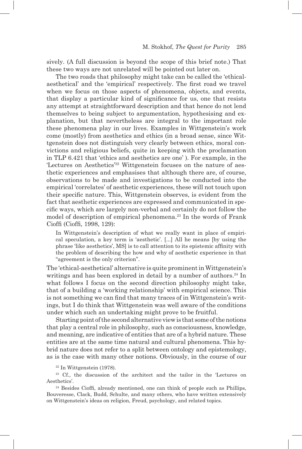sively. (A full discussion is beyond the scope of this brief note.) That these two ways are not unrelated will be pointed out later on.

The two roads that philosophy might take can be called the 'ethicalaesthetical' and the 'empirical' respectively. The first road we travel when we focus on those aspects of phenomena, objects, and events, that display a particular kind of significance for us, one that resists any attempt at straightforward description and that hence do not lend themselves to being subject to argumentation, hypothesising and explanation, but that nevertheless are integral to the important role these phenomena play in our lives. Examples in Wittgenstein's work come (mostly) from aesthetics and ethics (in a broad sense, since Wittgenstein does not distinguish very clearly between ethics, moral convictions and religious beliefs, quite in keeping with the proclamation in TLP 6.421 that 'ethics and aesthetics are one' ). For example, in the 'Lectures on Aesthetics'22 Wittgenstein focuses on the nature of aesthetic experiences and emphasises that although there are, of course, observations to be made and investigations to be conducted into the empirical 'correlates' of aesthetic experiences, these will not touch upon their specific nature. This, Wittgenstein observes, is evident from the fact that aesthetic experiences are expressed and communicated in specific ways, which are largely non-verbal and certainly do not follow the model of description of empirical phenomena.<sup>23</sup> In the words of Frank Cioffi (Cioffi, 1998, 129):

In Wittgenstein's description of what we really want in place of empirical speculation, a key term is 'aesthetic'. [...] All he means [by using the phrase 'like aesthetics', MS] is to call attention to its epistemic affinity with the problem of describing the how and why of aesthetic experience in that "agreement is the only criterion".

The 'ethical-aesthetical' alternative is quite prominent in Wittgenstein's writings and has been explored in detail by a number of authors.<sup>24</sup> In what follows I focus on the second direction philosophy might take, that of a building a 'working relationship' with empirical science. This is not something we can find that many traces of in Wittgenstein's writings, but I do think that Wittgenstein was well aware of the conditions under which such an undertaking might prove to be fruitful.

Starting point of the second alternative view is that some of the notions that play a central role in philosophy, such as consciousness, knowledge, and meaning, are indicative of entities that are of a hybrid nature. These entities are at the same time natural and cultural phenomena. This hybrid nature does not refer to a split between ontology and epistemology, as is the case with many other notions. Obviously, in the course of our

 $22$  In Wittgenstein (1978).

23 Cf., the discussion of the architect and the tailor in the 'Lectures on Aesthetics'.

<sup>24</sup> Besides Cioffi, already mentioned, one can think of people such as Phillips, Bouveresse, Clack, Budd, Schulte, and many others, who have written extensively on Wittgenstein's ideas on religion, Freud, psychology, and related topics.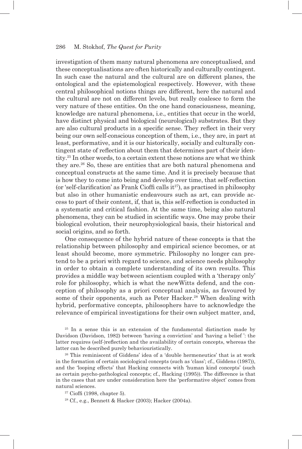investigation of them many natural phenomena are conceptualised, and these conceptualisations are often historically and culturally contingent. In such case the natural and the cultural are on different planes, the ontological and the epistemological respectively. However, with these central philosophical notions things are different, here the natural and the cultural are not on different levels, but really coalesce to form the very nature of these entities. On the one hand consciousness, meaning, knowledge are natural phenomena, i.e., entities that occur in the world, have distinct physical and biological (neurological) substrates. But they are also cultural products in a specific sense. They reflect in their very being our own self-conscious conception of them, i.e., they are, in part at least, performative, and it is our historically, socially and culturally contingent state of reflection about them that determines part of their identity.25 In other words, to a certain extent these notions are what we think they are.26 So, these are entities that are both natural phenomena and conceptual constructs at the same time. And it is precisely because that is how they to come into being and develop over time, that self-reflection (or 'self-clarification' as Frank Cioffi calls  $it^{27}$ ), as practised in philosophy but also in other humanistic endeavours such as art, can provide access to part of their content, if, that is, this self-reflection is conducted in a systematic and critical fashion. At the same time, being also natural phenomena, they can be studied in scientific ways. One may probe their biological evolution, their neurophysiological basis, their historical and social origins, and so forth.

One consequence of the hybrid nature of these concepts is that the relationship between philosophy and empirical science becomes, or at least should become, more symmetric. Philosophy no longer can pretend to be a priori with regard to science, and science needs philosophy in order to obtain a complete understanding of its own results. This provides a middle way between scientism coupled with a 'therapy only' role for philosophy, which is what the newWitts defend, and the conception of philosophy as a priori conceptual analysis, as favoured by some of their opponents, such as Peter Hacker.<sup>28</sup> When dealing with hybrid, performative concepts, philosophers have to acknowledge the relevance of empirical investigations for their own subject matter, and,

25 In a sense this is an extension of the fundamental distinction made by Davidson (Davidson, 1982) between 'having a conviction' and 'having a belief ': the latter requires (self-)reflection and the availability of certain concepts, whereas the latter can be described purely behaviouristically.

26 This reminiscent of Giddens' idea of a 'double hermeneutics' that is at work in the formation of certain sociological concepts (such as 'class'; cf., Giddens (1987)), and the 'looping effects' that Hacking connects with 'human kind concepts' (such as certain psycho-pathological concepts; cf., Hacking (1995)). The difference is that in the cases that are under consideration here the 'performative object' comes from natural sciences.

 $27$  Cioffi (1998, chapter 5).

28 Cf., e.g., Bennett & Hacker (2003); Hacker (2004a).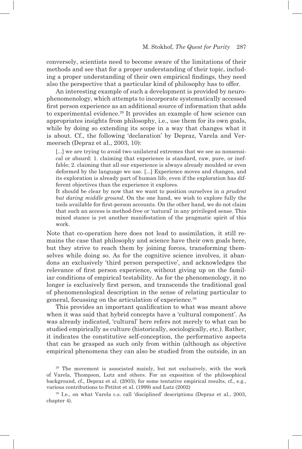conversely, scientists need to become aware of the limitations of their methods and see that for a proper understanding of their topic, including a proper understanding of their own empirical findings, they need also the perspective that a particular kind of philosophy has to offer.

An interesting example of such a development is provided by neurophenomenology, which attempts to incorporate systematically accessed first person experience as an additional source of information that adds to experimental evidence.<sup>29</sup> It provides an example of how science can appropriates insights from philosophy, i.e., use them for its own goals, while by doing so extending its scope in a way that changes what it is about. Cf., the following 'declaration' by Depraz, Varela and Vermeersch (Depraz et al., 2003, 10):

[...] we are trying to avoid two unilateral extremes that we see as nonsensical or absurd: 1. claiming that experience is standard, raw, pure, or ineffable; 2. claiming that all our experience is always already moulded or even deformed by the language we use. [...] Experience moves and changes, and its exploration is already part of human life, even if the exploration has different objectives than the experience it explores.

It should be clear by now that we want to position ourselves in *a prudent but daring middle ground*. On the one hand, we wish to explore fully the tools available for first-person accounts. On the other hand, we do not claim that such an access is method-free or 'natural' in any privileged sense. This mixed stance is yet another manifestation of the pragmatic spirit of this work.

Note that co-operation here does not lead to assimilation, it still remains the case that philosophy and science have their own goals here, but they strive to reach them by joining forces, transforming themselves while doing so. As for the cognitive science involves, it abandons an exclusively 'third person perspective', and acknowledges the relevance of first person experience, without giving up on the familiar conditions of empirical testability. As for the phenomenology, it no longer is exclusively first person, and transcends the traditional goal of phenomenological description in the sense of relating particular to general, focussing on the articulation of experience.30

This provides an important qualification to what was meant above when it was said that hybrid concepts have a 'cultural component'. As was already indicated, 'cultural' here refers not merely to what can be studied empirically as culture (historically, sociologically, etc.). Rather, it indicates the constitutive self-conception, the performative aspects that can be grasped as such only from within (although as objective empirical phenomena they can also be studied from the outside, in an

<sup>29</sup> The movement is associated mainly, but not exclusively, with the work of Varela, Thompson, Lutz and others. For an exposition of the philosophical background, cf., Depraz et al. (2003), for some tentative empirical results, cf., e.g., various contributions to Petitot et al. (1999) and Lutz (2002)

30 I.e., on what Varela c.s. call 'disciplined' descriptions (Depraz et al., 2003, chapter 4).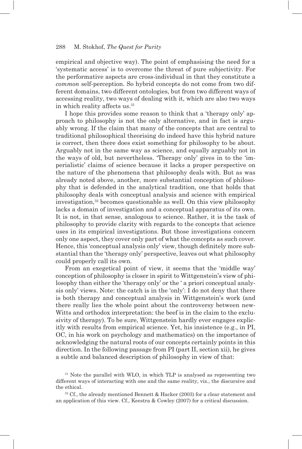empirical and objective way). The point of emphasising the need for a 'systematic access' is to overcome the threat of pure subjectivity. For the performative aspects are cross-individual in that they constitute a *common* self-perception. So hybrid concepts do not come from two different domains, two different ontologies, but from two different ways of accessing reality, two ways of dealing with it, which are also two ways in which reality affects us.<sup>31</sup>

I hope this provides some reason to think that a 'therapy only' approach to philosophy is not the only alternative, and in fact is arguably wrong. If the claim that many of the concepts that are central to traditional philosophical theorising do indeed have this hybrid nature is correct, then there does exist something for philosophy to be about. Arguably not in the same way as science, and equally arguably not in the ways of old, but nevertheless. 'Therapy only' gives in to the 'imperialistic' claims of science because it lacks a proper perspective on the nature of the phenomena that philosophy deals with. But as was already noted above, another, more substantial conception of philosophy that is defended in the analytical tradition, one that holds that philosophy deals with conceptual analysis and science with empirical investigation, $32$  becomes questionable as well. On this view philosophy lacks a domain of investigation and a conceptual apparatus of its own. It is not, in that sense, analogous to science. Rather, it is the task of philosophy to provide clarity with regards to the concepts that science uses in its empirical investigations. But those investigations concern only one aspect, they cover only part of what the concepts as such cover. Hence, this 'conceptual analysis only' view, though definitely more substantial than the 'therapy only' perspective, leaves out what philosophy could properly call its own.

From an exegetical point of view, it seems that the 'middle way' conception of philosophy is closer in spirit to Wittgenstein's view of philosophy than either the 'therapy only' or the ' a priori conceptual analysis only' views. Note: the catch is in the 'only': I do not deny that there is both therapy and conceptual analysis in Wittgenstein's work (and there really lies the whole point about the controversy between new-Witts and orthodox interpretation: the beef is in the claim to the exclusivity of therapy). To be sure, Wittgenstein hardly ever engages explicitly with results from empirical science. Yet, his insistence (e.g., in PI, OC, in his work on psychology and mathematics) on the importance of acknowledging the natural roots of our concepts certainly points in this direction. In the following passage from PI (part II, section xii), he gives a subtle and balanced description of philosophy in view of that:

<sup>31</sup> Note the parallel with WLO, in which TLP is analysed as representing two different ways of interacting with one and the same reality, viz., the discursive and the ethical.

<sup>32</sup> Cf., the already mentioned Bennett & Hacker (2003) for a clear statement and an application of this view. Cf., Keestra & Cowley (2007) for a critical discussion.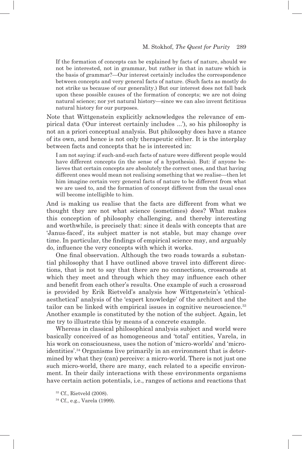If the formation of concepts can be explained by facts of nature, should we not be interested, not in grammar, but rather in that in nature which is the basis of grammar?—Our interest certainly includes the correspondence between concepts and very general facts of nature. (Such facts as mostly do not strike us because of our generality.) But our interest does not fall back upon these possible causes of the formation of concepts; we are not doing natural science; nor yet natural history—since we can also invent fictitious natural history for our purposes.

Note that Wittgenstein explicitly acknowledges the relevance of empirical data ('Our interest certainly includes ...'), so his philosophy is not an a priori conceptual analysis. But philosophy does have a stance of its own, and hence is not only therapeutic either. It is the interplay between facts and concepts that he is interested in:

I am not saying: if such-and-such facts of nature were different people would have different concepts (in the sense of a hypothesis). But: if anyone believes that certain concepts are absolutely the correct ones, and that having different ones would mean not realising something that we realise—then let him imagine certain very general facts of nature to be different from what we are used to, and the formation of concept different from the usual ones will become intelligible to him.

And is making us realise that the facts are different from what we thought they are not what science (sometimes) does? What makes this conception of philosophy challenging, and thereby interesting and worthwhile, is precisely that: since it deals with concepts that are 'Janus-faced', its subject matter is not stable, but may change over time. In particular, the findings of empirical science may, and arguably do, influence the very concepts with which it works.

One final observation. Although the two roads towards a substantial philosophy that I have outlined above travel into different directions, that is not to say that there are no connections, crossroads at which they meet and through which they may influence each other and benefit from each other's results. One example of such a crossroad is provided by Erik Rietveld's analysis how Wittgenstein's 'ethicalaesthetical' analysis of the 'expert knowledge' of the architect and the tailor can be linked with empirical issues in cognitive neuroscience.<sup>33</sup> Another example is constituted by the notion of the subject. Again, let me try to illustrate this by means of a concrete example.

Whereas in classical philosophical analysis subject and world were basically conceived of as homogeneous and 'total' entities, Varela, in his work on consciousness, uses the notion of 'micro-worlds' and 'microidentities'.34 Organisms live primarily in an environment that is determined by what they (can) perceive: a micro-world. There is not just one such micro-world, there are many, each related to a specific environment. In their daily interactions with these environments organisms have certain action potentials, i.e., ranges of actions and reactions that

33 Cf., Rietveld (2008).

34 Cf., e.g., Varela (1999).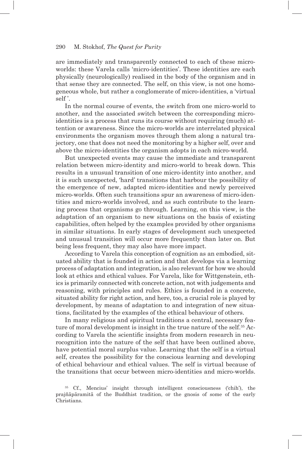are immediately and transparently connected to each of these microworlds: these Varela calls 'micro-identities'. These identities are each physically (neurologically) realised in the body of the organism and in that sense they are connected. The self, on this view, is not one homogeneous whole, but rather a conglomerate of micro-identities, a 'virtual self '.

In the normal course of events, the switch from one micro-world to another, and the associated switch between the corresponding microidentities is a process that runs its course without requiring (much) attention or awareness. Since the micro-worlds are interrelated physical environments the organism moves through them along a natural trajectory, one that does not need the monitoring by a higher self, over and above the micro-identities the organism adopts in each micro-world.

But unexpected events may cause the immediate and transparent relation between micro-identity and micro-world to break down. This results in a unusual transition of one micro-identity into another, and it is such unexpected, 'hard' transitions that harbour the possibility of the emergence of new, adapted micro-identities and newly perceived micro-worlds. Often such transitions spur an awareness of micro-identities and micro-worlds involved, and as such contribute to the learning process that organisms go through. Learning, on this view, is the adaptation of an organism to new situations on the basis of existing capabilities, often helped by the examples provided by other organisms in similar situations. In early stages of development such unexpected and unusual transition will occur more frequently than later on. But being less frequent, they may also have more impact.

According to Varela this conception of cognition as an embodied, situated ability that is founded in action and that develops via a learning process of adaptation and integration, is also relevant for how we should look at ethics and ethical values. For Varela, like for Wittgenstein, ethics is primarily connected with concrete action, not with judgements and reasoning, with principles and rules. Ethics is founded in a concrete, situated ability for right action, and here, too, a crucial role is played by development, by means of adaptation to and integration of new situations, facilitated by the examples of the ethical behaviour of others.

In many religious and spiritual traditions a central, necessary feature of moral development is insight in the true nature of the self.35 According to Varela the scientific insights from modern research in neurocognition into the nature of the self that have been outlined above, have potential moral surplus value. Learning that the self is a virtual self, creates the possibility for the conscious learning and developing of ethical behaviour and ethical values. The self is virtual because of the transitions that occur between micro-identities and micro-worlds.

<sup>35</sup> Cf., Mencius' insight through intelligent consciousness ('chih'), the prajñāpāramitā of the Buddhist tradition, or the gnosis of some of the early Christians.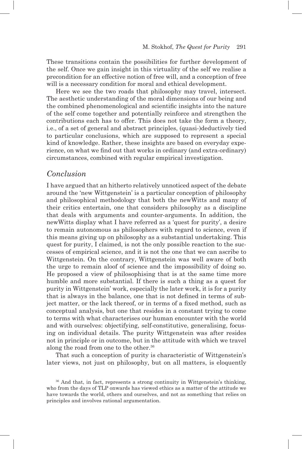These transitions contain the possibilities for further development of the self. Once we gain insight in this virtuality of the self we realise a precondition for an effective notion of free will, and a conception of free will is a necessary condition for moral and ethical development.

Here we see the two roads that philosophy may travel, intersect. The aesthetic understanding of the moral dimensions of our being and the combined phenomenological and scientific insights into the nature of the self come together and potentially reinforce and strengthen the contributions each has to offer. This does not take the form a theory, i.e., of a set of general and abstract principles, (quasi-)deductively tied to particular conclusions, which are supposed to represent a special kind of knowledge. Rather, these insights are based on everyday experience, on what we find out that works in ordinary (and extra-ordinary) circumstances, combined with regular empirical investigation.

## *Conclusion*

I have argued that an hitherto relatively unnoticed aspect of the debate around the 'new Wittgenstein' is a particular conception of philosophy and philosophical methodology that both the newWitts and many of their critics entertain, one that considers philosophy as a discipline that deals with arguments and counter-arguments. In addition, the newWitts display what I have referred as a 'quest for purity', a desire to remain autonomous as philosophers with regard to science, even if this means giving up on philosophy as a substantial undertaking. This quest for purity, I claimed, is not the only possible reaction to the successes of empirical science, and it is not the one that we can ascribe to Wittgenstein. On the contrary, Wittgenstein was well aware of both the urge to remain aloof of science and the impossibility of doing so. He proposed a view of philosophising that is at the same time more humble and more substantial. If there is such a thing as a quest for purity in Wittgenstein' work, especially the later work, it is for a purity that is always in the balance, one that is not defined in terms of subject matter, or the lack thereof, or in terms of a fixed method, such as conceptual analysis, but one that resides in a constant trying to come to terms with what characterises our human encounter with the world and with ourselves: objectifying, self-constitutive, generalising, focusing on individual details. The purity Wittgenstein was after resides not in principle or in outcome, but in the attitude with which we travel along the road from one to the other.36

That such a conception of purity is characteristic of Wittgenstein's later views, not just on philosophy, but on all matters, is eloquently

<sup>36</sup> And that, in fact, represents a strong continuity in Wittgenstein's thinking, who from the days of TLP onwards has viewed ethics as a matter of the attitude we have towards the world, others and ourselves, and not as something that relies on principles and involves rational argumentation.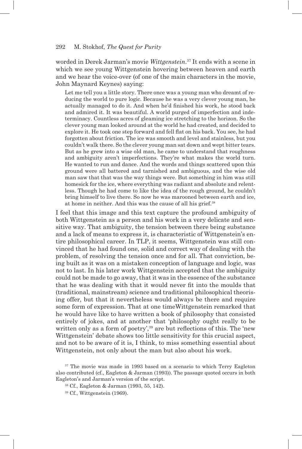worded in Derek Jarman's movie *Wittgenstein*. 37 It ends with a scene in which we see young Wittgenstein hovering between heaven and earth and we hear the voice-over (of one of the main characters in the movie, John Maynard Keynes) saying:

Let me tell you a little story. There once was a young man who dreamt of reducing the world to pure logic. Because he was a very clever young man, he actually managed to do it. And when he'd finished his work, he stood back and admired it. It was beautiful. A world purged of imperfection and indeterminacy. Countless acres of gleaming ice stretching to the horizon. So the clever young man looked around at the world he had created, and decided to explore it. He took one step forward and fell flat on his back. You see, he had forgotten about friction. The ice was smooth and level and stainless, but you couldn't walk there. So the clever young man sat down and wept bitter tears. But as he grew into a wise old man, he came to understand that roughness and ambiguity aren't imperfections. They're what makes the world turn. He wanted to run and dance. And the words and things scattered upon this ground were all battered and tarnished and ambiguous, and the wise old man saw that that was the way things were. But something in him was still homesick for the ice, where everything was radiant and absolute and relentless. Though he had come to like the idea of the rough ground, he couldn't bring himself to live there. So now he was marooned between earth and ice, at home in neither. And this was the cause of all his grief.38

I feel that this image and this text capture the profound ambiguity of both Wittgenstein as a person and his work in a very delicate and sensitive way. That ambiguity, the tension between there being substance and a lack of means to express it, is characteristic of Wittgenstein's entire philosophical career. In TLP, it seems, Wittgenstein was still convinced that he had found one, solid and correct way of dealing with the problem, of resolving the tension once and for all. That conviction, being built as it was on a mistaken conception of language and logic, was not to last. In his later work Wittgenstein accepted that the ambiguity could not be made to go away, that it was in the essence of the substance that he was dealing with that it would never fit into the moulds that (traditional, mainstream) science and traditional philosophical theorising offer, but that it nevertheless would always be there and require some form of expression. That at one timeWittgenstein remarked that he would have like to have written a book of philosophy that consisted entirely of jokes, and at another that 'philosophy ought really to be written only as a form of poetry',<sup>39</sup> are but reflections of this. The 'new Wittgenstein' debate shows too little sensitivity for this crucial aspect, and not to be aware of it is, I think, to miss something essential about Wittgenstein, not only about the man but also about his work.

<sup>&</sup>lt;sup>37</sup> The movie was made in 1993 based on a scenario to which Terry Eagleton also contributed (cf., Eagleton & Jarman (1993)). The passage quoted occurs in both Eagleton's and Jarman's version of the script.

<sup>38</sup> Cf., Eagleton & Jarman (1993, 55, 142).

<sup>39</sup> Cf., Wittgenstein (1969).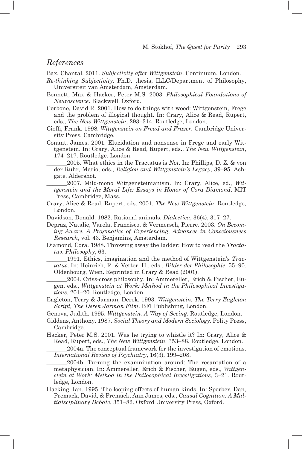## *References*

Bax, Chantal. 2011. *Subjectivity after Wittgenstein*. Continuum, London.

- *Re-thinking Subjectivity*. Ph.D. thesis, ILLC/Department of Philosophy, Universiteit van Amsterdam, Amsterdam.
- Bennett, Max & Hacker, Peter M.S. 2003. *Philosophical Foundations of Neuroscience*. Blackwell, Oxford.
- Cerbone, David R. 2001. How to do things with wood: Wittgenstein, Frege and the problem of illogical thought. In: Crary, Alice & Read, Rupert, eds., *The New Wittgenstein*, 293–314. Routledge, London.
- Cioffi , Frank. 1998. *Wittgenstein on Freud and Frazer*. Cambridge University Press, Cambridge.
- Conant, James. 2001. Elucidation and nonsense in Frege and early Wittgenstein. In: Crary, Alice & Read, Rupert, eds., *The New Wittgenstein*, 174–217. Routledge, London.

\_\_\_\_\_\_\_2005. What ethics in the Tractatus is *Not*. In: Phillips, D. Z. & von der Ruhr, Mario, eds., *Religion and Wittgenstein's Legacy*, 39–95. Ashgate, Aldershot.

\_\_\_\_\_\_\_2007. Mild-mono Wittgensteinianism. In: Crary, Alice, ed., *Wittgenstein and the Moral Life: Essays in Honor of Cora Diamond*. MIT Press, Cambridge, Mass.

- Crary, Alice & Read, Rupert, eds. 2001. *The New Wittgenstein*. Routledge, London.
- Davidson, Donald. 1982. Rational animals. *Dialectica*, 36(4), 317–27.
- Depraz, Natalie, Varela, Francisco, & Vermersch, Pierre. 2003. *On Becoming Aware. A Pragmatics of Experiencing*, *Advances in Consciousness Research*, vol. 43. Benjamins, Amsterdam.
- Diamond, Cora. 1988. Throwing away the ladder: How to read the *Tractatus*. *Philosophy*, 63.

\_\_\_\_\_\_\_1991. Ethics, imagination and the method of Wittgenstein's *Tractatus*. In: Heinrich, R. & Vetter, H., eds., *Bilder der Philosophie*, 55–90. Oldenbourg, Wien. Reprinted in Crary & Read (2001).

- \_\_\_\_\_\_\_2004. Criss-cross philosophy. In: Ammereller, Erich & Fischer, Eugen, eds., *Wittgenstein at Work: Method in the Philosophical Investigations*, 201–20. Routledge, London.
- Eagleton, Terry & Jarman, Derek. 1993. *Wittgenstein. The Terry Eagleton Script, The Derek Jarman Film*. BFI Publishing, London.

Genova, Judith. 1995. *Wittgenstein. A Way of Seeing*. Routledge, London.

- Giddens, Anthony. 1987. *Social Theory and Modern Sociology*. Polity Press, Cambridge.
- Hacker, Peter M.S. 2001. Was he trying to whistle it? In: Crary, Alice & Read, Rupert, eds., *The New Wittgenstein*, 353–88. Routledge, London. \_\_\_\_\_\_\_2004a. The conceptual framework for the investigation of emotions.
- *International Review of Psychiatry*, 16(3), 199–208.

\_\_\_\_\_\_\_2004b. Turning the examnination around: The recantation of a metaphysician. In: Ammereller, Erich & Fischer, Eugen, eds., *Wittgenstein at Work: Method in the Philosophical Investigations*, 3–21. Routledge, London.

Hacking, Ian. 1995. The looping effects of human kinds. In: Sperber, Dan, Premack, David, & Premack, Ann James, eds., *Causal Cognition: A Multidisciplinary Debate*, 351–82. Oxford University Press, Oxford.